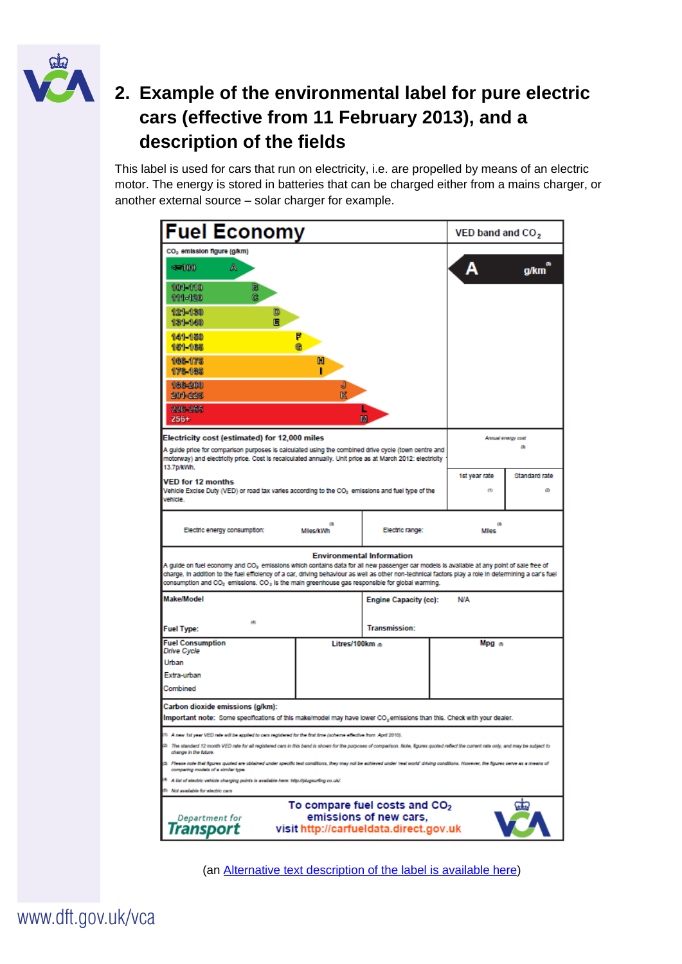

## **2. Example of the environmental label for pure electric cars (effective from 11 February 2013), and a description of the fields**

This label is used for cars that run on electricity, i.e. are propelled by means of an electric motor. The energy is stored in batteries that can be charged either from a mains charger, or another external source – solar charger for example.

| <b>Fuel Economy</b>                                                                                                                                                                                                                                                                                                                                                                                                                                                                                                                    |                        |                      |  | VED band and CO <sub>2</sub>                                         |                   |
|----------------------------------------------------------------------------------------------------------------------------------------------------------------------------------------------------------------------------------------------------------------------------------------------------------------------------------------------------------------------------------------------------------------------------------------------------------------------------------------------------------------------------------------|------------------------|----------------------|--|----------------------------------------------------------------------|-------------------|
| CO <sub>2</sub> emission figure (g/km)<br>$4 - 100$<br>A<br>101-110<br>в<br>ĉ.<br>111-120<br>$121 - 130$<br>D<br>頂<br>131-140<br>141-150<br>151-165<br>108.175<br>178-185<br>186-200<br>201-225                                                                                                                                                                                                                                                                                                                                        | F<br>ø۱<br>M<br>J<br>K |                      |  | Α                                                                    | $\bullet$<br>q/km |
| 226 255<br>M<br>$256+$<br>Electricity cost (estimated) for 12,000 miles<br>A guide price for comparison purposes is calculated using the combined drive cycle (town centre and<br>motorway) and electricity price. Cost is recalculated annually. Unit price as at March 2012: electricity<br>13.7p/kWh.<br><b>VED for 12 months</b><br>Vehicle Excise Duty (VED) or road tax varies according to the CO2 emissions and fuel type of the<br>vehicle.                                                                                   |                        |                      |  | Annual energy cost<br>a<br>1st year rate<br>Standard rate<br>ø<br>co |                   |
| Electric energy consumption:                                                                                                                                                                                                                                                                                                                                                                                                                                                                                                           | Miles/kWh              | Electric range:      |  | a<br><b>Miles</b>                                                    |                   |
| <b>Environmental Information</b><br>A guide on fuel economy and CO <sub>2</sub> emissions which contains data for all new passenger car models is available at any point of sale free of<br>charge. In addition to the fuel efficiency of a car, driving behaviour as well as other non-technical factors play a role in determining a car's fuel<br>consumption and CO <sub>2</sub> emissions. CO <sub>2</sub> is the main greenhouse gas responsible for global warming.<br>Make/Model<br><b>Engine Capacity (cc):</b><br><b>N/A</b> |                        |                      |  |                                                                      |                   |
| 歯<br><b>Fuel Type:</b>                                                                                                                                                                                                                                                                                                                                                                                                                                                                                                                 |                        | <b>Transmission:</b> |  |                                                                      |                   |
| <b>Fuel Consumption</b><br>Drive Cycle<br>Urban<br>Extra-urban<br>Combined                                                                                                                                                                                                                                                                                                                                                                                                                                                             | Litres/100km a         |                      |  | Mpg a                                                                |                   |
| Carbon dioxide emissions (g/km):<br>Important note: Some specifications of this make/model may have lower CO2 emissions than this. Check with your dealer.<br>A new 1st year VED rate will be applied to cars registered for the first time (scheme effective from April 2010).<br>The standard 12 month VED rate for all registered cars in this band is shown for the purposes of comparison. Note, figures quoted reflect the current rate only, and may be subject to<br>change in the future<br>m                                 |                        |                      |  |                                                                      |                   |
| Please note that figures quoted are obtained under specific test conditions, they may not be echieved under 'real world' driving conditions. However, the figures serve as a means of<br>comparing models of a similar type.<br>A list of electric vehicle charging points is available here: http://plugsurfing.co.uk/.<br>Not available for electric cars<br>To compare fuel costs and CO <sub>2</sub><br>emissions of new cars,<br>Department for<br>Transport<br>visit http://carfueldata.direct.gov.uk                            |                        |                      |  |                                                                      |                   |

(an [Alternative text description of the label is available here\)](http://www.dft.gov.uk/vca/accessibility/description-of-the-new-car-environmental-label.asp)

www.dft.gov.uk/vca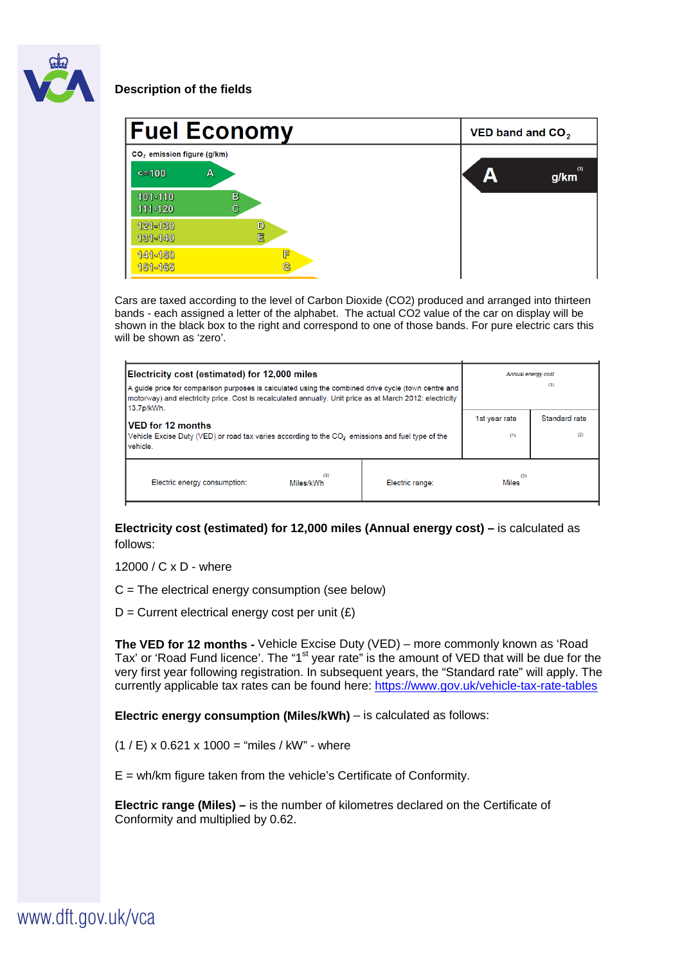

## **Description of the fields**

| <b>Fuel Economy</b>                    |                             | VED band and $CO2$ |   |             |
|----------------------------------------|-----------------------------|--------------------|---|-------------|
| CO <sub>2</sub> emission figure (g/km) |                             |                    |   |             |
| $\leq 100$                             | А                           |                    | А | (3)<br>g/km |
| 101-110<br>$111 - 120$                 | $\mathbf{B}$<br>$\mathbf c$ |                    |   |             |
| $121 - 130$<br>131-140                 | D<br>Ē                      |                    |   |             |
| 141-150<br>151-165                     | F<br>G                      |                    |   |             |

Cars are taxed according to the level of Carbon Dioxide (CO2) produced and arranged into thirteen bands - each assigned a letter of the alphabet. The actual CO2 value of the car on display will be shown in the black box to the right and correspond to one of those bands. For pure electric cars this will be shown as 'zero'.

| Electricity cost (estimated) for 12,000 miles<br>A guide price for comparison purposes is calculated using the combined drive cycle (town centre and<br>motorway) and electricity price. Cost is recalculated annually. Unit price as at March 2012: electricity<br>13.7p/kWh. |                 | Annual energy cost<br>(3) |                      |
|--------------------------------------------------------------------------------------------------------------------------------------------------------------------------------------------------------------------------------------------------------------------------------|-----------------|---------------------------|----------------------|
| <b>VED for 12 months</b><br>Vehicle Excise Duty (VED) or road tax varies according to the $CO2$ emissions and fuel type of the<br>vehicle.                                                                                                                                     |                 | 1st year rate<br>(1)      | Standard rate<br>(2) |
| (3)<br>Electric energy consumption:<br>Miles/kWh                                                                                                                                                                                                                               | Electric range: | (3)<br><b>Miles</b>       |                      |

**Electricity cost (estimated) for 12,000 miles (Annual energy cost) – is calculated as** follows:

12000 / C x D - where

C = The electrical energy consumption (see below)

 $D =$  Current electrical energy cost per unit  $(E)$ 

**The VED for 12 months -** Vehicle Excise Duty (VED) – more commonly known as 'Road Tax' or 'Road Fund licence'. The "1<sup>st</sup> year rate" is the amount of VED that will be due for the very first year following registration. In subsequent years, the "Standard rate" will apply. The currently applicable tax rates can be found here:<https://www.gov.uk/vehicle-tax-rate-tables>

**Electric energy consumption (Miles/kWh)** – is calculated as follows:

 $(1 / E)$  x 0.621 x 1000 = "miles / kW" - where

E = wh/km figure taken from the vehicle's Certificate of Conformity.

**Electric range (Miles) –** is the number of kilometres declared on the Certificate of Conformity and multiplied by 0.62.

www.dft.gov.uk/vca